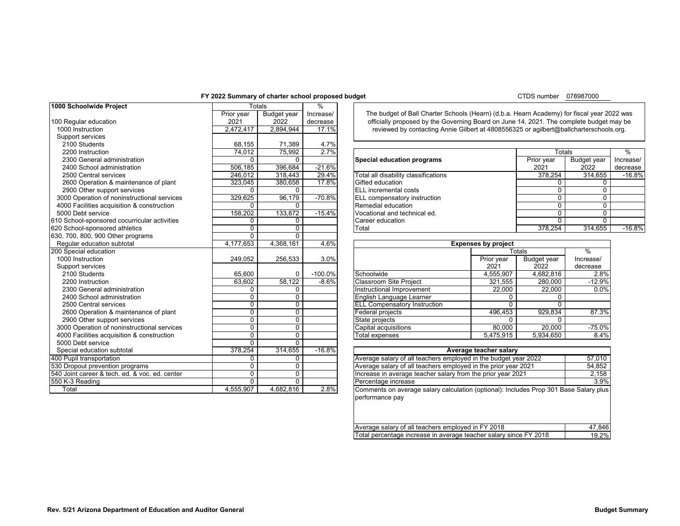# **FY 2022 Summary of charter school proposed budget**

CTDS number 078987000

<span id="page-0-0"></span>

|                                                |             |                |           |                                                                                            |                                                                                         |                | 0.000100           |           |
|------------------------------------------------|-------------|----------------|-----------|--------------------------------------------------------------------------------------------|-----------------------------------------------------------------------------------------|----------------|--------------------|-----------|
| 1000 Schoolwide Project                        |             | Totals         | %         |                                                                                            |                                                                                         |                |                    |           |
|                                                | Prior year  | Budget year    | Increase/ | The budget of Ball Charter Schools (Hearn) (d.b.a. Hearn Academy) for fiscal year 2022 was |                                                                                         |                |                    |           |
| 100 Regular education                          | 2021        | 2022           | decrease  |                                                                                            | officially proposed by the Governing Board on June 14, 2021. The complete budget may be |                |                    |           |
| 1000 Instruction                               | 2,472,417   | 2,894,944      | 17.1%     | reviewed by contacting Annie Gilbert at 4808556325 or agilbert@ballcharterschools.org.     |                                                                                         |                |                    |           |
| Support services                               |             |                |           |                                                                                            |                                                                                         |                |                    |           |
| 2100 Students                                  | 68.155      | 71,389         | 4.7%      |                                                                                            |                                                                                         |                |                    |           |
| 2200 Instruction                               | 74,012      | 75,992         | 2.7%      |                                                                                            |                                                                                         | Totals         |                    | %         |
| 2300 General administration                    | $\Omega$    | $\Omega$       |           | Special education programs                                                                 |                                                                                         | Prior year     | <b>Budget year</b> | Increase/ |
| 2400 School administration                     | 506,185     | 396,684        | $-21.6%$  |                                                                                            |                                                                                         | 2021           | 2022               | decrease  |
| 2500 Central services                          | 246.012     | 318,443        | 29.4%     | Total all disability classifications                                                       |                                                                                         | 378,254        | 314.655            | $-16.8%$  |
| 2600 Operation & maintenance of plant          | 323.045     | 380,658        | 17.8%     | Gifted education                                                                           |                                                                                         | 0              | 0                  |           |
| 2900 Other support services                    | 0           | 0              |           | <b>ELL</b> incremental costs                                                               |                                                                                         | 0              | 0                  |           |
| 3000 Operation of noninstructional services    | 329,625     | 96,179         | $-70.8%$  | ELL compensatory instruction                                                               |                                                                                         | $\mathbf{0}$   | 0                  |           |
| 4000 Facilities acquisition & construction     | O           | 0              |           | Remedial education                                                                         |                                                                                         | $\Omega$       | 0                  |           |
| 5000 Debt service                              | 158,202     | 133,872        | $-15.4%$  | Vocational and technical ed.                                                               |                                                                                         | $\overline{0}$ | 0                  |           |
| 610 School-sponsored cocurricular activities   | $\Omega$    | 0              |           | Career education                                                                           |                                                                                         | $\Omega$       | $\Omega$           |           |
| 620 School-sponsored athletics                 | $\Omega$    | $\Omega$       |           | Total                                                                                      |                                                                                         | 378,254        | 314,655            | $-16.8%$  |
| 630, 700, 800, 900 Other programs              | $\Omega$    | $\Omega$       |           |                                                                                            |                                                                                         |                |                    |           |
| Regular education subtotal                     | 4,177,653   | 4,368,161      | 4.6%      | <b>Expenses by project</b>                                                                 |                                                                                         |                |                    |           |
| 200 Special education                          |             |                |           |                                                                                            |                                                                                         | <b>Totals</b>  | $\frac{0}{6}$      |           |
| 1000 Instruction                               | 249,052     | 256,533        | 3.0%      |                                                                                            | Prior year                                                                              | Budget year    | Increase/          |           |
| Support services                               |             |                |           |                                                                                            | 2021                                                                                    | 2022           | decrease           |           |
| 2100 Students                                  | 65.600      | 0              | $-100.0%$ | Schoolwide                                                                                 | 4,555,907                                                                               | 4.682.816      | 2.8%               |           |
| 2200 Instruction                               | 63,602      | 58,122         | $-8.6%$   | <b>Classroom Site Project</b>                                                              | 321,555                                                                                 | 280,000        | $-12.9%$           |           |
| 2300 General administration                    | $\Omega$    | $\Omega$       |           | Instructional Improvement                                                                  | 22,000                                                                                  | 22,000         | 0.0%               |           |
| 2400 School administration                     | $\Omega$    | $\Omega$       |           | English Language Learner                                                                   | $\Omega$                                                                                | $\Omega$       |                    |           |
| 2500 Central services                          | 0           | $\mathbf{0}$   |           | <b>ELL Compensatory Instruction</b>                                                        | $\Omega$                                                                                | $\Omega$       |                    |           |
| 2600 Operation & maintenance of plant          | $\Omega$    | $\Omega$       |           | Federal projects                                                                           | 496,453                                                                                 | 929,834        | 87.3%              |           |
| 2900 Other support services                    | 0           | $\Omega$       |           | State projects                                                                             | $\Omega$                                                                                | $\Omega$       |                    |           |
| 3000 Operation of noninstructional services    | $\mathbf 0$ | $\mathbf{0}$   |           | Capital acquisitions                                                                       | 80,000                                                                                  | 20,000         | $-75.0%$           |           |
| 4000 Facilities acquisition & construction     | $\mathbf 0$ | $\overline{0}$ |           | Total expenses                                                                             | 5,475,915                                                                               | 5,934,650      | 8.4%               |           |
| 5000 Debt service                              | $\Omega$    | $\Omega$       |           |                                                                                            |                                                                                         |                |                    |           |
| Special education subtotal                     | 378,254     | 314,655        | $-16.8%$  |                                                                                            | Average teacher salary                                                                  |                |                    |           |
| 400 Pupil transportation                       | $\Omega$    | $\mathbf{0}$   |           | Average salary of all teachers employed in the budget year 2022                            |                                                                                         |                | 57,010             |           |
| 530 Dropout prevention programs                | 0           | $\mathbf{0}$   |           | Average salary of all teachers employed in the prior year 2021                             |                                                                                         |                | 54,852             |           |
| 540 Joint career & tech. ed. & voc. ed. center | $\mathbf 0$ | $\mathbf{0}$   |           | Increase in average teacher salary from the prior year 2021                                |                                                                                         |                | 2,158              |           |
| 550 K-3 Reading                                | $\Omega$    | $\Omega$       |           | Percentage increase                                                                        |                                                                                         |                | 3.9%               |           |
| Total                                          | 4,555,907   | 4,682,816      | 2.8%      | Comments on average salary calculation (optional): Includes Prop 301 Base Salary plus      |                                                                                         |                |                    |           |

| 2200 Instruction                           | 74.012  | 75.992  | 2.7%     |                                      | Totals     |             |           |
|--------------------------------------------|---------|---------|----------|--------------------------------------|------------|-------------|-----------|
| 2300 General administration                |         |         |          | Special education programs           | Prior year | Budget year | Increase/ |
| 2400 School administration                 | 506.185 | 396.684 | $-21.6%$ |                                      | 2021       | 2022        | decrease  |
| 2500 Central services                      | 246.012 | 318.443 | 29.4%    | Total all disability classifications | 378.254    | 314.655     | $-16.8\%$ |
| 2600 Operation & maintenance of plant      | 323.045 | 380.658 | 17.8%    | Gifted education                     |            |             |           |
| 2900 Other support services                |         |         |          | <b>IELL</b> incremental costs        |            |             |           |
| 000 Operation of noninstructional services | 329.625 | 96.179  | $-70.8%$ | <b>ELL compensatory instruction</b>  |            |             |           |
| 000 Facilities acquisition & construction  |         |         |          | Remedial education                   |            |             |           |
| 00 Debt service                            | 158.202 | 133.872 | $-15.4%$ | Vocational and technical ed.         |            |             |           |
| School-sponsored cocurricular activities   |         |         |          | Career education                     |            |             |           |
| School-sponsored athletics                 |         |         |          | Total                                | 378.254    | 314.655     | $-16.8%$  |

| <b>Expenses by project</b>          |            |                    |               |  |  |  |  |  |  |
|-------------------------------------|------------|--------------------|---------------|--|--|--|--|--|--|
|                                     |            | Totals             | $\frac{0}{0}$ |  |  |  |  |  |  |
|                                     | Prior year | <b>Budget year</b> | Increase/     |  |  |  |  |  |  |
|                                     | 2021       | 2022               | decrease      |  |  |  |  |  |  |
| Schoolwide                          | 4,555,907  | 4,682,816          | 2.8%          |  |  |  |  |  |  |
| <b>Classroom Site Project</b>       | 321,555    | 280,000            | $-12.9%$      |  |  |  |  |  |  |
| Instructional Improvement           | 22,000     | 22,000             | 0.0%          |  |  |  |  |  |  |
| English Language Learner            | 0          |                    |               |  |  |  |  |  |  |
| <b>ELL Compensatory Instruction</b> | 0          | 0                  |               |  |  |  |  |  |  |
| Federal projects                    | 496,453    | 929,834            | 87.3%         |  |  |  |  |  |  |
| State projects                      | 0          | 0                  |               |  |  |  |  |  |  |
| Capital acquisitions                | 80,000     | 20,000             | $-75.0%$      |  |  |  |  |  |  |
| <b>Total expenses</b>               | 5,475,915  | 5.934.650          | 8.4%          |  |  |  |  |  |  |

| Average teacher salary                                                                                   |        |
|----------------------------------------------------------------------------------------------------------|--------|
| Average salary of all teachers employed in the budget year 2022                                          | 57,010 |
| Average salary of all teachers employed in the prior year 2021                                           | 54,852 |
| Increase in average teacher salary from the prior year 2021                                              | 2,158  |
| Percentage increase                                                                                      | 3.9%   |
| Comments on average salary calculation (optional): Includes Prop 301 Base Salary plus<br>performance pay |        |
| Average salary of all teachers employed in FY 2018                                                       | 47.846 |

|                                                                   | .     |
|-------------------------------------------------------------------|-------|
| Total percentage increase in average teacher salary since FY 2018 | 19.2% |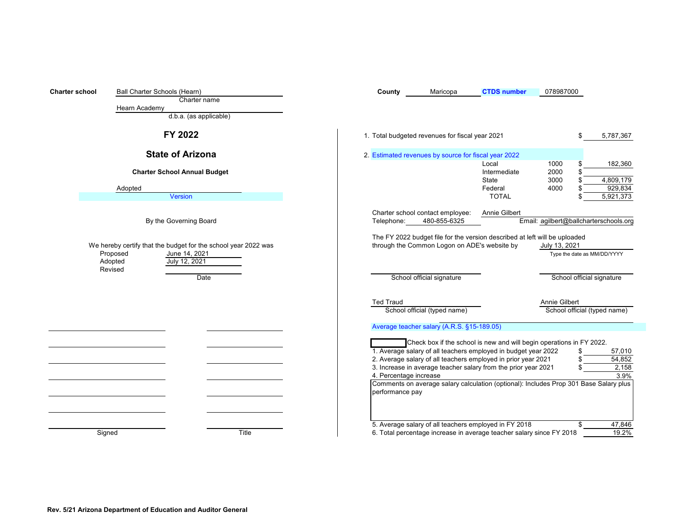<span id="page-1-0"></span>

| <b>Charter school</b> | Ball Charter Schools (Hearn)<br>Charter name<br>Hearn Academy                                                                      | Maricopa<br><b>CTDS number</b><br>078987000<br>County                                                                                                                                                                                                                                                                                                                                                                                                                                                                                                                 |
|-----------------------|------------------------------------------------------------------------------------------------------------------------------------|-----------------------------------------------------------------------------------------------------------------------------------------------------------------------------------------------------------------------------------------------------------------------------------------------------------------------------------------------------------------------------------------------------------------------------------------------------------------------------------------------------------------------------------------------------------------------|
|                       | d.b.a. (as applicable)                                                                                                             |                                                                                                                                                                                                                                                                                                                                                                                                                                                                                                                                                                       |
|                       | FY 2022                                                                                                                            | 1. Total budgeted revenues for fiscal year 2021<br>5,787,367<br>£.                                                                                                                                                                                                                                                                                                                                                                                                                                                                                                    |
|                       | <b>State of Arizona</b>                                                                                                            | 2. Estimated revenues by source for fiscal year 2022<br>Local<br>1000<br>182,360                                                                                                                                                                                                                                                                                                                                                                                                                                                                                      |
|                       | <b>Charter School Annual Budget</b>                                                                                                | 2000<br>Intermediate<br>3000<br>4,809,179<br>State                                                                                                                                                                                                                                                                                                                                                                                                                                                                                                                    |
|                       | Adopted<br>Version                                                                                                                 | 929,834<br>Federal<br>4000<br>5,921,373<br><b>TOTAL</b>                                                                                                                                                                                                                                                                                                                                                                                                                                                                                                               |
|                       | By the Governing Board                                                                                                             | Charter school contact employee:<br>Annie Gilbert<br>Email: agilbert@ballcharterschools.org<br>480-855-6325<br>Telephone:                                                                                                                                                                                                                                                                                                                                                                                                                                             |
|                       | We hereby certify that the budget for the school year 2022 was<br>Proposed<br>June 14, 2021<br>July 12, 2021<br>Adopted<br>Revised | The FY 2022 budget file for the version described at left will be uploaded<br>through the Common Logon on ADE's website by<br>July 13, 2021<br>Type the date as MM/DD/YYYY                                                                                                                                                                                                                                                                                                                                                                                            |
|                       | Date                                                                                                                               | School official signature<br>School official signature                                                                                                                                                                                                                                                                                                                                                                                                                                                                                                                |
|                       |                                                                                                                                    | Annie Gilbert<br><b>Ted Traud</b><br>School official (typed name)<br>School official (typed name)                                                                                                                                                                                                                                                                                                                                                                                                                                                                     |
|                       |                                                                                                                                    |                                                                                                                                                                                                                                                                                                                                                                                                                                                                                                                                                                       |
|                       |                                                                                                                                    | Average teacher salary (A.R.S. §15-189.05)<br>Check box if the school is new and will begin operations in FY 2022.<br>1. Average salary of all teachers employed in budget year 2022<br>57,010<br>2. Average salary of all teachers employed in prior year 2021<br>54,852<br>3. Increase in average teacher salary from the prior year 2021<br>2,158<br>4. Percentage increase<br>3.9%<br>Comments on average salary calculation (optional): Includes Prop 301 Base Salary plus<br>performance pay<br>5. Average salary of all teachers employed in FY 2018<br>47,846 |
|                       | Signed<br>Title                                                                                                                    | 6. Total percentage increase in average teacher salary since FY 2018<br>19.2%                                                                                                                                                                                                                                                                                                                                                                                                                                                                                         |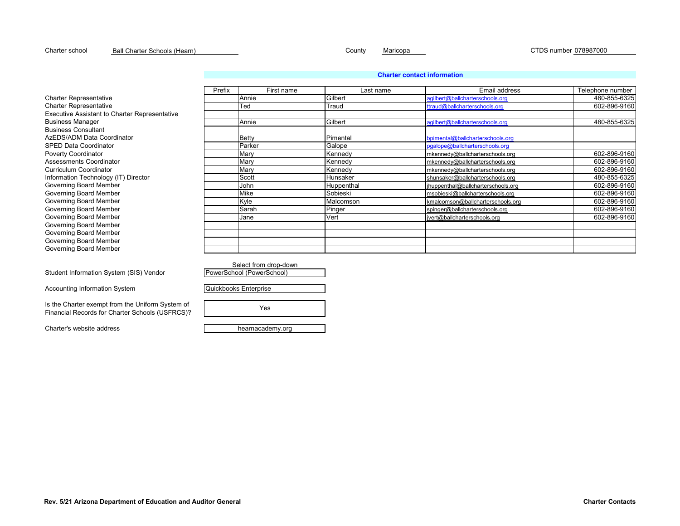# **Rev. 5/21 Arizona Department of Education and Auditor General Charter Contacts**

Charter school <u>Ball Charter Schools (Hearn) County Maricopa CTDS number 078987000</u>

# **[C](#page-15-1)harter contact information**

|                                                      | Prefix | First name   | Last name  | Email address                     | Telephone number |
|------------------------------------------------------|--------|--------------|------------|-----------------------------------|------------------|
| Charter Representative                               |        | Annie        | Gilbert    | agilbert@ballcharterschools.org   | 480-855-6325     |
| Charter Representative                               |        | Ted          | Traud      | ttraud@ballcharterschools.org     | 602-896-9160     |
| <b>Executive Assistant to Charter Representative</b> |        |              |            |                                   |                  |
| Business Manager                                     |        | Annie        | Gilbert    | agilbert@ballcharterschools.org   | 480-855-6325     |
| <b>Business Consultant</b>                           |        |              |            |                                   |                  |
| AzEDS/ADM Data Coordinator                           |        | <b>Betty</b> | Pimental   | bpimental@ballcharterschools.org  |                  |
| SPED Data Coordinator                                |        | Parker       | Galope     | pgalope@ballcharterschools.org    |                  |
| Poverty Coordinator                                  |        | Mary         | Kennedy    | mkennedy@ballcharterschools.org   | 602-896-9160     |
| Assessments Coordinator                              |        | Mary         | Kennedy    | mkennedy@ballcharterschools.org   | 602-896-9160     |
| Curriculum Coordinator                               |        | Mary         | Kennedy    | mkennedy@ballcharterschools.org   | 602-896-9160     |
| Information Technology (IT) Director                 |        | Scott        | Hunsaker   | shunsaker@ballcharterschools.org  | 480-855-6325     |
| Governing Board Member                               |        | John         | Huppenthal | huppenthal@ballcharterschools.org | 602-896-9160     |
| Governing Board Member                               |        | Mike         | Sobieski   | msobieski@ballcharterschools.org  | 602-896-9160     |
| Governing Board Member                               |        | Kyle         | Malcomson  | kmalcomson@ballcharterschools.org | 602-896-9160     |
| Governing Board Member                               |        | Sarah        | Pinger     | spinger@ballcharterschools.org    | 602-896-9160     |
| Governing Board Member                               |        | Jane         | Vert       | vert@ballcharterschools.org       | 602-896-9160     |
| Governing Board Member                               |        |              |            |                                   |                  |
| Governing Board Member                               |        |              |            |                                   |                  |
| Governing Board Member                               |        |              |            |                                   |                  |
| Governing Board Member                               |        |              |            |                                   |                  |
|                                                      |        |              |            |                                   |                  |

Student Information System (SIS) Vendor

Accounting Information System

Is the Charter exempt from the Uniform System of Financial Records for Charter Schools (USFRCS)?

Charter's website address hearnacademy.org

Select from drop-down PowerSchool (PowerSchool)

Quickbooks Enterprise

Yes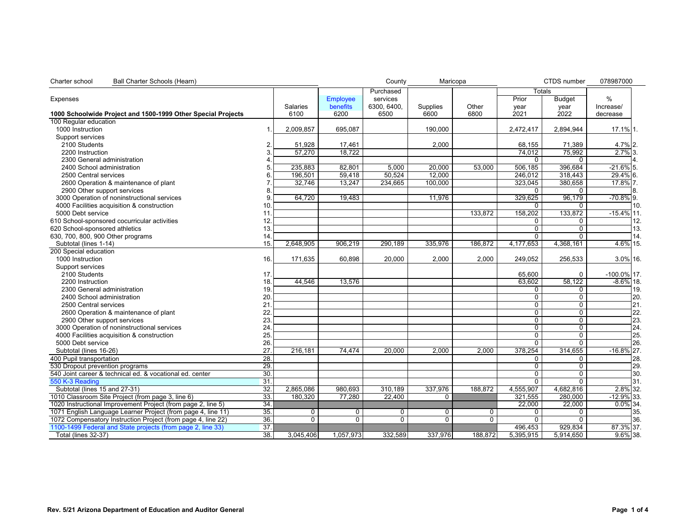<span id="page-3-0"></span>

| Charter school<br>Ball Charter Schools (Hearn)               |                 |                 |                 | County         | Maricopa        |          |                | CTDS number    | 078987000      |     |
|--------------------------------------------------------------|-----------------|-----------------|-----------------|----------------|-----------------|----------|----------------|----------------|----------------|-----|
|                                                              |                 |                 |                 | Purchased      |                 |          | Totals         |                |                |     |
| Expenses                                                     |                 |                 | <b>Employee</b> | services       |                 |          | Prior          | <b>Budget</b>  | %              |     |
|                                                              |                 | <b>Salaries</b> | benefits        | 6300, 6400,    | <b>Supplies</b> | Other    | year           | year           | Increase/      |     |
| 1000 Schoolwide Project and 1500-1999 Other Special Projects |                 | 6100            | 6200            | 6500           | 6600            | 6800     | 2021           | 2022           | decrease       |     |
| 100 Regular education                                        |                 |                 |                 |                |                 |          |                |                |                |     |
| 1000 Instruction                                             | $\mathbf{1}$    | 2,009,857       | 695,087         |                | 190,000         |          | 2,472,417      | 2,894,944      | 17.1% 1.       |     |
| Support services                                             |                 |                 |                 |                |                 |          |                |                |                |     |
| 2100 Students                                                | 2.              | 51,928          | 17,461          |                | 2,000           |          | 68,155         | 71,389         | 4.7% 2.        |     |
| 2200 Instruction                                             |                 | 57,270          | 18,722          |                |                 |          | 74,012         | 75,992         | $2.7\%$ 3.     |     |
| 2300 General administration                                  |                 |                 |                 |                |                 |          | $\mathbf{0}$   | $\Omega$       |                |     |
| 2400 School administration                                   |                 | 235,883         | 82,801          | 5,000          | 20,000          | 53,000   | 506,185        | 396,684        | $-21.6\%$ 5.   |     |
| 2500 Central services                                        | 6               | 196,501         | 59,418          | 50,524         | 12,000          |          | 246,012        | 318,443        | 29.4% 6.       |     |
| 2600 Operation & maintenance of plant                        |                 | 32,746          | 13,247          | 234,665        | 100,000         |          | 323,045        | 380,658        | 17.8% 7.       |     |
| 2900 Other support services                                  |                 |                 |                 |                |                 |          | $\Omega$       | 0              |                | 8.  |
| 3000 Operation of noninstructional services                  | 9.              | 64,720          | 19,483          |                | 11,976          |          | 329,625        | 96,179         | $-70.8\%$ 9.   |     |
| 4000 Facilities acquisition & construction                   | 10.             |                 |                 |                |                 |          | $\Omega$       | 0              |                | 10. |
| 5000 Debt service                                            | 11.             |                 |                 |                |                 | 133,872  | 158,202        | 133,872        | $-15.4\%$ 11.  |     |
| 610 School-sponsored cocurricular activities                 | 12.             |                 |                 |                |                 |          | $\Omega$       | 0              |                | 12. |
| 620 School-sponsored athletics                               | 13.             |                 |                 |                |                 |          | $\mathbf{0}$   | $\Omega$       |                | 13. |
| 630, 700, 800, 900 Other programs                            | 14              |                 |                 |                |                 |          | $\Omega$       | $\Omega$       |                | 14. |
| Subtotal (lines 1-14)                                        | 15.             | 2,648,905       | 906,219         | 290,189        | 335,976         | 186,872  | 4,177,653      | 4,368,161      | 4.6% 15.       |     |
| 200 Special education                                        |                 |                 |                 |                |                 |          |                |                |                |     |
| 1000 Instruction                                             | 16.             | 171,635         | 60,898          | 20,000         | 2,000           | 2,000    | 249,052        | 256,533        | 3.0% 16.       |     |
| Support services                                             |                 |                 |                 |                |                 |          |                |                |                |     |
| 2100 Students                                                | 17 <sub>2</sub> |                 |                 |                |                 |          | 65,600         | $\mathbf 0$    | $-100.0\%$ 17. |     |
| 2200 Instruction                                             | 18.             | 44,546          | 13,576          |                |                 |          | 63,602         | 58,122         | $-8.6\%$ 18.   |     |
| 2300 General administration                                  | 19.             |                 |                 |                |                 |          | $\mathbf 0$    | $\Omega$       |                | 19. |
| 2400 School administration                                   | 20.             |                 |                 |                |                 |          | $\overline{0}$ | $\overline{0}$ |                | 20. |
| 2500 Central services                                        | 21              |                 |                 |                |                 |          | $\overline{0}$ | 0              |                | 21. |
| 2600 Operation & maintenance of plant                        | 22              |                 |                 |                |                 |          | $\Omega$       | 0              |                | 22. |
| 2900 Other support services                                  | 23.             |                 |                 |                |                 |          | $\overline{0}$ | $\mathbf 0$    |                | 23. |
| 3000 Operation of noninstructional services                  | 24              |                 |                 |                |                 |          | $\Omega$       | $\Omega$       |                | 24. |
| 4000 Facilities acquisition & construction                   | 25.             |                 |                 |                |                 |          | $\mathbf 0$    | 0              |                | 25. |
| 5000 Debt service                                            | 26.             |                 |                 |                |                 |          | $\overline{0}$ | $\overline{0}$ |                | 26. |
| Subtotal (lines 16-26)                                       | 27.             | 216,181         | 74,474          | 20,000         | 2,000           | 2,000    | 378,254        | 314,655        | $-16.8\%$ 27.  |     |
| 400 Pupil transportation                                     | 28.             |                 |                 |                |                 |          | $\mathbf 0$    | 0              |                | 28. |
| 530 Dropout prevention programs                              | 29.             |                 |                 |                |                 |          | $\overline{0}$ | $\Omega$       |                | 29. |
| 540 Joint career & technical ed. & vocational ed. center     | 30.             |                 |                 |                |                 |          | $\mathbf 0$    | $\mathbf 0$    |                | 30. |
| 550 K-3 Reading                                              | 31              |                 |                 |                |                 |          | $\overline{0}$ | $\overline{0}$ |                | 31. |
| Subtotal (lines 15 and 27-31)                                | 32.             | 2.865.086       | 980.693         | 310.189        | 337.976         | 188.872  | 4.555.907      | 4.682.816      | 2.8% 32.       |     |
| 1010 Classroom Site Project (from page 3, line 6)            | 33.             | 180,320         | 77,280          | 22,400         | 0               |          | 321,555        | 280,000        | $-12.9\%$ 33.  |     |
| 1020 Instructional Improvement Project (from page 2, line 5) | 34.             |                 |                 |                |                 |          | 22,000         | 22,000         | $0.0\%$ 34.    |     |
| 1071 English Language Learner Project (from page 4, line 11) | 35.             | 0               | 0               | 0              | 0               | 0        | 0              | 0              |                | 35. |
| 1072 Compensatory Instruction Project (from page 4, line 22) | 36.             | $\overline{0}$  | $\Omega$        | $\overline{0}$ | $\overline{0}$  | $\Omega$ | $\overline{0}$ | $\Omega$       |                | 36. |
| 1100-1499 Federal and State projects (from page 2, line 33)  | $\overline{37}$ |                 |                 |                |                 |          | 496,453        | 929,834        | 87.3% 37.      |     |
| Total (lines 32-37)                                          | 38.             | 3,045,406       | 1,057,973       | 332,589        | 337,976         | 188,872  | 5,395,915      | 5,914,650      | $9.6\%$ 38.    |     |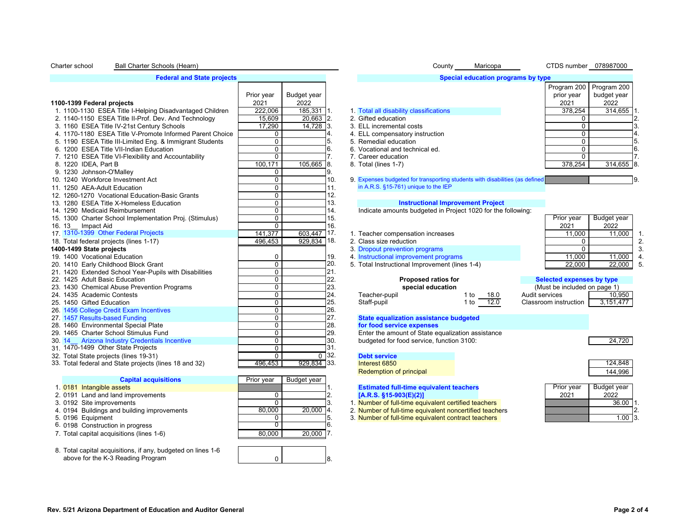### <span id="page-4-0"></span>Charter school Ball Charter Schools (Hearn) **Charter Schools (Hearn**) **County County County** Maricopa CTDS number 078987000 Ball Charter Schools (Hearn)

### **[F](#page-16-1)ederal and State projects**

|                                                          |             |             |                    |                                                                              |              |                | Program 200                  | Program 200  |                |
|----------------------------------------------------------|-------------|-------------|--------------------|------------------------------------------------------------------------------|--------------|----------------|------------------------------|--------------|----------------|
|                                                          | Prior year  | Budget year |                    |                                                                              |              |                | prior year                   | budget year  |                |
| 1100-1399 Federal projects                               | 2021        | 2022        |                    |                                                                              |              |                | 2021                         | 2022         |                |
| 1. 1100-1130 ESEA Title I-Helping Disadvantaged Children | 222,006     | 185,331 1.  |                    | 1. Total all disability classifications                                      |              |                | 378,254                      | $314,655$ 1. |                |
| 2. 1140-1150 ESEA Title II-Prof. Dev. And Technology     | 15.609      | 20.663 2.   |                    | 2. Gifted education                                                          |              |                | $\Omega$                     |              |                |
| 3. 1160 ESEA Title IV-21st Century Schools               | 17,290      | 14,728 3.   |                    | 3. ELL incremental costs                                                     |              |                | 0                            |              | 3.             |
| 4. 1170-1180 ESEA Title V-Promote Informed Parent Choice | $\mathbf 0$ |             |                    | 4. ELL compensatory instruction                                              |              |                | 0                            |              |                |
| 5. 1190 ESEA Title III-Limited Eng. & Immigrant Students | $\mathbf 0$ |             | 5.                 | 5. Remedial education                                                        |              |                | 0                            |              | 5.             |
| 6. 1200 ESEA Title VII-Indian Education                  | $\mathbf 0$ |             | 6.                 | 6. Vocational and technical ed.                                              |              |                | 0                            |              | 6.             |
| 7. 1210 ESEA Title VI-Flexibility and Accountability     | $\mathbf 0$ |             |                    | 7. Career education                                                          |              |                | $\Omega$                     |              |                |
| 8. 1220 IDEA, Part B                                     | 100.171     | 105,665     | 18.                | 8. Total (lines 1-7)                                                         |              |                | 378,254                      | $314,655$ 8. |                |
| 9. 1230 Johnson-O'Malley                                 | 0           |             | 9.                 |                                                                              |              |                |                              |              |                |
| 10. 1240 Workforce Investment Act                        | $\mathbf 0$ |             | 10.                | 9. Expenses budgeted for transporting students with disabilities (as defined |              |                |                              |              | 9.             |
| 11. 1250 AEA-Adult Education                             | $\mathbf 0$ |             | 11.                | in A.R.S. §15-761) unique to the IEP                                         |              |                |                              |              |                |
| 12. 1260-1270 Vocational Education-Basic Grants          | $\mathbf 0$ |             | 12.                |                                                                              |              |                |                              |              |                |
| 13. 1280 ESEA Title X-Homeless Education                 | $\mathbf 0$ |             | 13.                | <b>Instructional Improvement Project</b>                                     |              |                |                              |              |                |
| 14. 1290 Medicaid Reimbursement                          | $\mathbf 0$ |             | 14.                | Indicate amounts budgeted in Project 1020 for the following:                 |              |                |                              |              |                |
| 15. 1300 Charter School Implementation Proj. (Stimulus)  | $\mathbf 0$ |             | 15.                |                                                                              |              |                | Prior year                   | Budget year  |                |
| 16.13<br>Impact Aid                                      | $\Omega$    |             | 16.                |                                                                              |              |                | 2021                         | 2022         |                |
| 17. 1310-1399 Other Federal Projects                     | 141.377     | 603.447     | ٦17.               | 1. Teacher compensation increases                                            |              |                | 11,000                       | 11,000       |                |
| 18. Total federal projects (lines 1-17)                  | 496,453     | 929,834 18. |                    | 2. Class size reduction                                                      |              |                | 0                            |              |                |
| 1400-1499 State projects                                 |             |             |                    | 3. Dropout prevention programs                                               |              |                | $\Omega$                     |              | 3              |
| 19, 1400 Vocational Education                            | 0           |             | 19.                | 4. Instructional improvement programs                                        |              |                | 11,000                       | 11,000       | $\overline{4}$ |
| 20. 1410 Early Childhood Block Grant                     | $\mathbf 0$ |             | 20.                | 5. Total Instructional Improvement (lines 1-4)                               |              |                | 22.000                       | 22,000       |                |
| 21. 1420 Extended School Year-Pupils with Disabilities   | $\Omega$    |             | 21.                |                                                                              |              |                |                              |              |                |
| 22. 1425 Adult Basic Education                           | $\mathbf 0$ |             | 22.                | Proposed ratios for                                                          |              |                | Selected expenses by type    |              |                |
| 23. 1430 Chemical Abuse Prevention Programs              | $\mathbf 0$ |             | 23.                | special education                                                            |              |                | (Must be included on page 1) |              |                |
| 24. 1435 Academic Contests                               | $\mathbf 0$ |             | 24.                | Teacher-pupil                                                                | 1 to<br>18.0 | Audit services |                              | 10,950       |                |
| 25. 1450 Gifted Education                                | $\Omega$    |             | 25.                | Staff-pupil                                                                  | 12.0<br>1 to |                | Classroom instruction        | 3,151,477    |                |
| 26. 1456 College Credit Exam Incentives                  | $\mathbf 0$ |             | 26.                |                                                                              |              |                |                              |              |                |
| 27. 1457 Results-based Funding                           | $\mathbf 0$ |             | 27.                | State equalization assistance budgeted                                       |              |                |                              |              |                |
| 28. 1460 Environmental Special Plate                     | $\mathbf 0$ |             | 28.                | for food service expenses                                                    |              |                |                              |              |                |
| 29. 1465 Charter School Stimulus Fund                    | $\mathbf 0$ |             | 29.                | Enter the amount of State equalization assistance                            |              |                |                              |              |                |
| <b>Arizona Industry Credentials Incentive</b><br>30.14   | $\mathbf 0$ |             | 30.                | budgeted for food service, function 3100:                                    |              |                |                              | 24,720       |                |
| 31, 1470-1499 Other State Projects                       | $\Omega$    |             | 31.                |                                                                              |              |                |                              |              |                |
| 32. Total State projects (lines 19-31)                   | $\Omega$    |             | $\overline{0}$ 32. | <b>Debt service</b>                                                          |              |                |                              |              |                |
| 33. Total federal and State projects (lines 18 and 32)   | 496.453     | 929,834 33. |                    | Interest 6850                                                                |              |                |                              | 124,848      |                |

| <b>Capital acquisitions</b>                 | Prior year | Budget year |                                                         |
|---------------------------------------------|------------|-------------|---------------------------------------------------------|
| 1. 0181 Intangible assets                   |            |             | <b>Estimated full-time equivalent teachers</b>          |
| 2. 0191 Land and land improvements          |            |             | $[A.R.S. §15-903(E)(2)]$                                |
| 3. 0192 Site improvements                   |            |             | 1. Number of full-time equivalent certified teachers    |
| 4. 0194 Buildings and building improvements | 80.000     | 20.000 4.   | 2. Number of full-time equivalent noncertified teachers |
| 5. 0196 Equipment                           |            |             | 3. Number of full-time equivalent contract teachers     |
| 6. 0198 Construction in progress            |            |             |                                                         |
| 7. Total capital acquisitions (lines 1-6)   | 80.000     | $20,000$ 7. |                                                         |

### 8. Total capital acquisitions, if any, budgeted on lines 1-6 above for the K-3 Reading Program

### **[Special education programs by type](#page-17-0)**

| Special equication programs by type     |             |             |          |
|-----------------------------------------|-------------|-------------|----------|
|                                         | Program 200 | Program 200 |          |
|                                         | prior year  | budget year |          |
|                                         | 2021        | 2022        |          |
| 1. Total all disability classifications | 378.254     | 314,655     |          |
| 2. Gifted education                     | 0           |             |          |
| 3. ELL incremental costs                | 0           |             | 3        |
| 4. ELL compensatory instruction         | O           |             | 14       |
| 5. Remedial education                   | O           |             | 5.       |
| 6. Vocational and technical ed.         | O           |             | <b>6</b> |
| 7. Career education                     | O           |             |          |
| 8. Total (lines 1-7)                    | 378.254     | 314,655     | 18.      |
|                                         |             |             |          |

|  |  | . Teacher compensation increases |  |
|--|--|----------------------------------|--|
|  |  |                                  |  |

- 19. 1400 Vocational Education 0 19. 4. [Instructional improvement programs](#page-18-1) 11,000 11,000 4.
- 20. 5. Total Instructional Improvement (lines 1-4) 21.

| <b>Proposed ratios for</b> |      |      |  |
|----------------------------|------|------|--|
| special education          |      |      |  |
| Feacher-pupil              | 1 to | 18.0 |  |
| Staff-nunil                | 1 to | 12 O |  |

| Prior year<br>2021 | Budget year<br>2022 |   |
|--------------------|---------------------|---|
| 11,000             | 11.000              |   |
|                    |                     | 2 |
|                    |                     | 3 |
| 11,000             | 11,000              | 4 |
| 22.000             | 22.000              | 5 |

| Selected expenses by type    |           |  |  |  |  |  |  |
|------------------------------|-----------|--|--|--|--|--|--|
| (Must be included on page 1) |           |  |  |  |  |  |  |
| Audit services               | 10,950    |  |  |  |  |  |  |
| Classroom instruction        | 3,151,477 |  |  |  |  |  |  |

# 27. **1457 [State equalization assistance budgeted](#page-18-2) 1287**<br>28. **Property Conding Conding 127. Property** assistance budgeted

 $\begin{array}{ccc} 0 & \vert & 8. \end{array}$ 

Redemption of principal and the state of the state of the state of the state of the state of the state of the state of the state of the state of the state of the state of the state of the state of the state of the state of

- 
- 
- 5. 0196 Equipment 0 5. 3. Number of full-time equivalent contract teachers 1.00 3.

|            | , <del>, ,</del> , , , , , |  |
|------------|----------------------------|--|
|            |                            |  |
| Prior year | Budget year                |  |
| 2021       | 2022                       |  |
|            | 36.00                      |  |
|            |                            |  |
|            |                            |  |

### **Rev. 5/21 Arizona Department of Education and Auditor General Page 2 of 4**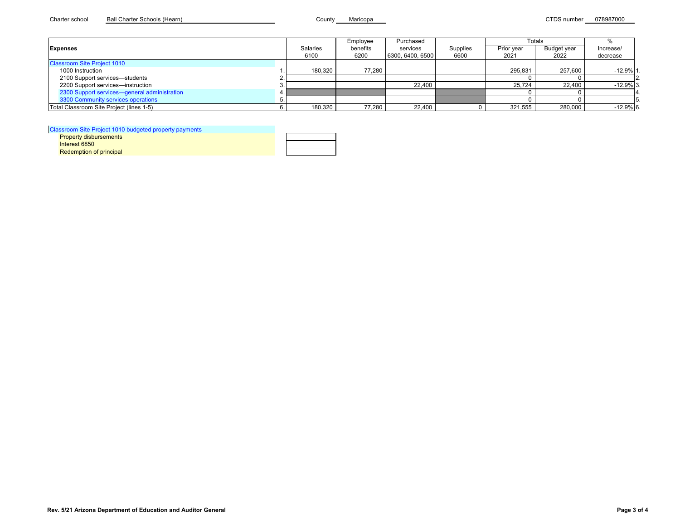<span id="page-5-0"></span>

|                                              |          | Employee | Purchased        |          |            | Totals      |             |
|----------------------------------------------|----------|----------|------------------|----------|------------|-------------|-------------|
| <b>Expenses</b>                              | Salaries | benefits | services         | Supplies | Prior year | Budget year | Increase/   |
|                                              | 6100     | 6200     | 6300, 6400, 6500 | 6600     | 2021       | 2022        | decrease    |
| <b>Classroom Site Project 1010</b>           |          |          |                  |          |            |             |             |
| 1000 Instruction                             | 180.320  | 77.280   |                  |          | 295.831    | 257.600     | $-12.9%1$   |
| 2100 Support services-students               |          |          |                  |          |            |             |             |
| 2200 Support services-instruction            |          |          | 22.400           |          | 25.724     | 22,400      | $-12.9%$ 3. |
| 2300 Support services-general administration |          |          |                  |          |            |             |             |
| 3300 Community services operations           |          |          |                  |          |            |             |             |
| Total Classroom Site Project (lines 1-5)     | 180,320  | 77.280   | 22,400           |          | 321,555    | 280,000     | $-12.9%$ 6. |

[Classroom Site Project 1010 budgeted property payments](#page-19-1)

| issiooni Site Project Tu Tu buddeted property payments |  |
|--------------------------------------------------------|--|
| <b>Property disbursements</b>                          |  |
| Interest 6850                                          |  |
| <b>Redemption of principal</b>                         |  |
|                                                        |  |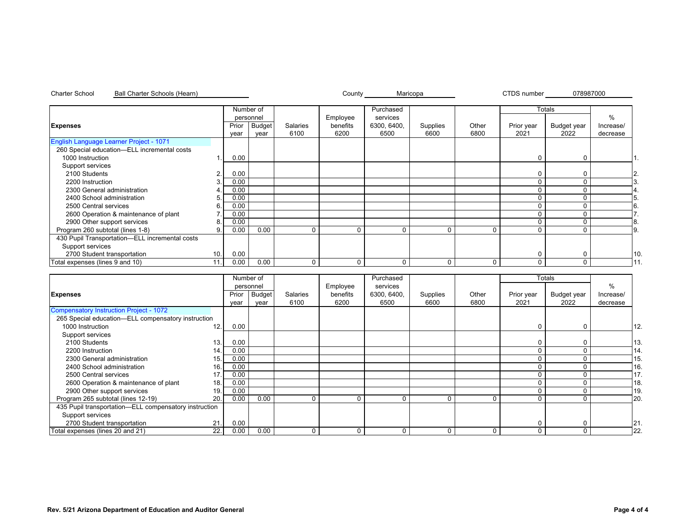|                                                |        |       | Number of     |          |          | Purchased   |          |          |            | Totals      |               |    |
|------------------------------------------------|--------|-------|---------------|----------|----------|-------------|----------|----------|------------|-------------|---------------|----|
|                                                |        |       | personnel     |          | Employee | services    |          |          |            |             | $\frac{0}{0}$ |    |
| <b>Expenses</b>                                |        | Prior | <b>Budget</b> | Salaries | benefits | 6300, 6400, | Supplies | Other    | Prior year | Budget year | Increase/     |    |
|                                                |        | year  | year          | 6100     | 6200     | 6500        | 6600     | 6800     | 2021       | 2022        | decrease      |    |
| English Language Learner Project - 1071        |        |       |               |          |          |             |          |          |            |             |               |    |
| 260 Special education-ELL incremental costs    |        |       |               |          |          |             |          |          |            |             |               |    |
| 1000 Instruction                               |        | 0.00  |               |          |          |             |          |          | 0          | $\Omega$    |               |    |
| Support services                               |        |       |               |          |          |             |          |          |            |             |               |    |
| 2100 Students                                  | $\sim$ | 0.00  |               |          |          |             |          |          | 0          | $\Omega$    |               | 2. |
| 2200 Instruction                               |        | 0.00  |               |          |          |             |          |          |            |             |               |    |
| 2300 General administration                    |        | 0.00  |               |          |          |             |          |          |            |             |               |    |
| 2400 School administration                     | 5.     | 0.00  |               |          |          |             |          |          |            |             |               |    |
| 2500 Central services                          | 6      | 0.00  |               |          |          |             |          |          |            |             |               | 6. |
| 2600 Operation & maintenance of plant          |        | 0.00  |               |          |          |             |          |          |            |             |               |    |
| 2900 Other support services                    | 8      | 0.00  |               |          |          |             |          |          |            |             |               | 8. |
| Program 260 subtotal (lines 1-8)               | 9.     | 0.00  | 0.00          | $\Omega$ | 0        | $\Omega$    | $\Omega$ | 0        | C          |             |               | 9. |
| 430 Pupil Transportation-ELL incremental costs |        |       |               |          |          |             |          |          |            |             |               |    |
| Support services                               |        |       |               |          |          |             |          |          |            |             |               |    |
| 2700 Student transportation                    | 10.    | 0.00  |               |          |          |             |          |          |            |             |               | 10 |
| Total expenses (lines 9 and 10)                | 11.    | 0.00  | 0.00          | $\Omega$ |          | $\Omega$    | $\Omega$ | $\Omega$ | 0          |             |               |    |

|                                                       |     | Number of |           |          |          | Purchased   |          |          |            | Totals      |           |     |
|-------------------------------------------------------|-----|-----------|-----------|----------|----------|-------------|----------|----------|------------|-------------|-----------|-----|
|                                                       |     |           | personnel |          | Employee | services    |          |          |            |             | $\%$      |     |
| <b>Expenses</b>                                       |     | Prior     | Budget    | Salaries | benefits | 6300, 6400, | Supplies | Other    | Prior year | Budget year | Increase/ |     |
|                                                       |     | year      | year      | 6100     | 6200     | 6500        | 6600     | 6800     | 2021       | 2022        | decrease  |     |
| Compensatory Instruction Project - 1072               |     |           |           |          |          |             |          |          |            |             |           |     |
| 265 Special education-ELL compensatory instruction    |     |           |           |          |          |             |          |          |            |             |           |     |
| 1000 Instruction                                      | 12. | 0.00      |           |          |          |             |          |          | 0          |             |           | 12. |
| Support services                                      |     |           |           |          |          |             |          |          |            |             |           |     |
| 2100 Students                                         | 13. | 0.00      |           |          |          |             |          |          |            |             |           | 13. |
| 2200 Instruction                                      | 14. | 0.00      |           |          |          |             |          |          |            |             |           | 14  |
| 2300 General administration                           | 15. | 0.00      |           |          |          |             |          |          |            |             |           | 15. |
| 2400 School administration                            | 16. | 0.00      |           |          |          |             |          |          |            |             |           | 16  |
| 2500 Central services                                 | 17  | 0.00      |           |          |          |             |          |          |            |             |           | 17. |
| 2600 Operation & maintenance of plant                 | 18. | 0.00      |           |          |          |             |          |          |            |             |           | 18  |
| 2900 Other support services                           | 19. | 0.00      |           |          |          |             |          |          |            |             |           | 19. |
| Program 265 subtotal (lines 12-19)                    | 20. | 0.00      | 0.00      |          | 0        |             | $\Omega$ | $\Omega$ | $\Omega$   |             |           | 20. |
| 435 Pupil transportation-ELL compensatory instruction |     |           |           |          |          |             |          |          |            |             |           |     |
| Support services                                      |     |           |           |          |          |             |          |          |            |             |           |     |
| 2700 Student transportation                           | 21. | 0.00      |           |          |          |             |          |          | $\Omega$   |             |           | 21  |
| Total expenses (lines 20 and 21)                      | 22. | 0.00      | 0.00      | 0        | 0        | 0           | 0        |          | 0          |             |           | 22. |

<span id="page-6-0"></span>Charter School County CTDS number Ball Charter Schools (Hearn) Maricopa 078987000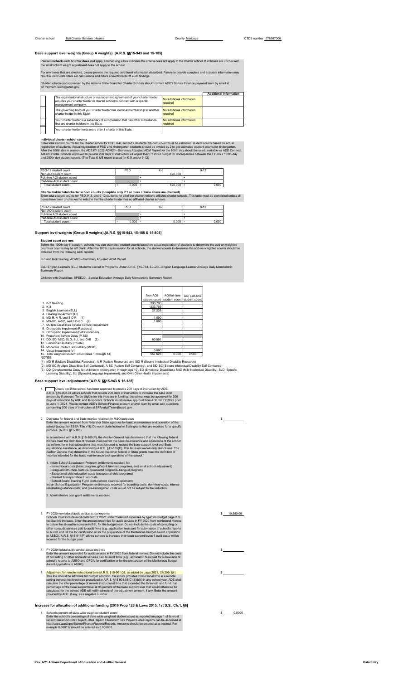Please **uncheck** each box that **does not** apply. Unchecking a box indicates the criteria does not apply to the charter school. If all boxes are unchecked,<br>the small school weight adjustment does not apply to the school.

For any boxes that are checked, please provide the required additional information described. Failure to provide complete and accurate information may<br>result in inaccurate State aid calculations and future corrections/ADM

Charter schools not sponsored by the Arizona State Board for Charter Schools should contact ADE's School Finance payment team by email at SFPaymentTeam@azed.gov.

|  |                                                                                                                                                                                  |                                       | <b>Additional information</b> |
|--|----------------------------------------------------------------------------------------------------------------------------------------------------------------------------------|---------------------------------------|-------------------------------|
|  | The organizational structure or management agreement of your charter holder<br>requires your charter holder or charter school to contract with a specific<br>management company. | No additional information<br>required |                               |
|  | The governing body of your charter holder has identical membership to another<br>charter holder in this State.                                                                   | No additional information<br>required |                               |
|  | Your charter holder is a subsidiary of a corporation that has other subsidiaries<br>that are charter holders in this State.                                                      | No additional information<br>required |                               |
|  | Your charter holder holds more than 1 charter in this State.                                                                                                                     |                                       |                               |

<span id="page-7-0"></span>Individual charter school counts<br>Enter total student counts for the charter school for PSD, K-8, and 9-12 students. Student count must be estimated student counts based on actual<br>registration of students. Actual registrati

| PSD-12 student count        | <b>PSD</b> | K-8         |       |
|-----------------------------|------------|-------------|-------|
| Non-AOI student count       |            | 620,000     |       |
| Full-time AOI student count |            |             |       |
| Part-time AOI student count |            |             |       |
| Total student count         | 0.000      | $620.000 =$ | 0.000 |

<span id="page-7-1"></span>Charter holder total charter school counts (complete only if 1 or more criteria above are checked)<br>Enter total student counts for PSD, K-8, and 9-12 students for an of the charter holder's affiliated charter schools. This

| PSD-12 student count        | PSD               | K-8   | 9-12  |
|-----------------------------|-------------------|-------|-------|
| Non-AOI student count       |                   |       |       |
| Full-time AOI student count |                   |       |       |
| Part-time AOI student count |                   |       |       |
| Total student count         | 0.000<br>$\equiv$ | 0.000 | 0.000 |

**Support level weights (Group B weights) [A.R.S. §§15-943, 15-185 & 15-808]**

Student count add-ons<br>Before the 100th day in session, schools may use estimated student counts based on actual registration of students to determine the add-on weighted<br>counts or counts may be left blank. After the 100th

K-3 and K-3 Reading: ADM20—Summary Adjusted ADM Report

ELL: English Learners (ELL) Students Served in Programs Under A.R.S. §15-754, ELL20—English Language Learner Average Daily Membership Summary Report

Children with Disabilities: SPED20—Special Education Average Daily Membership Summary Report

|                                                       | Non-AOI       | AOI full-time               | AOI part-time |
|-------------------------------------------------------|---------------|-----------------------------|---------------|
|                                                       | student count | student count student count |               |
| 1. K-3 Reading                                        | 233.703       |                             |               |
| $2. K-3$                                              | 233.703       |                             |               |
| 3. English Learners (ELL)                             | 27.226        |                             |               |
| 4. Hearing Impairment (HI)                            |               |                             |               |
| 5. MD-R, A-R, and SID-R (1)                           | 1.000         |                             |               |
| 6. MD-SC, A-SC, and SID-SC (2)                        | 1.000         |                             |               |
| 7. Multiple Disabilities Severe Sensory Impairment    |               |                             |               |
| 8. Orthopedic Impairment (Resource)                   |               |                             |               |
| 9. Orthopedic Impairment (Self Contained)             |               |                             |               |
| 10. Preschool-Severe Delay (P-SD)                     |               |                             |               |
| 11. DD. ED. MIID. SLD. SLI. and OHI (3)               | 60.991        |                             |               |
| 12. Emotional Disability (Private)                    |               |                             |               |
| 13. Moderate Intellectual Disability (MOID)           |               |                             |               |
| 14. Visual Impairment (VI)                            | 0.000         |                             |               |
| 15. Total weighted student count (lines 1 through 14) | 557.623       | 0.000                       | 0.000         |

NOTES:<br>(1) MD-R (Multiple Disabilities-Resource), A-R (Autism-Resource), and SID-R (Severe Intellectual Disability-Resource)<br>(2) MD-SC (Multiple Disabilities-Self-Contained), A-SC (Autism-Self-Contained), and SID-SC (Seve

# **Base support level adjustments [A.R.S. §§15-943 & 15-185]**

1. Check box if the school has been approved to provide 200 days of instruction by ADE.<br>A.R.S. §15-902.04 allows schools that provide 200 days of instruction to increase the base level<br>amount by 5 percent. To be eligible f

2. Decrease for federal and State monies received for M&O purposes<br>Enter the amount received from federal or State agencies for basic maintenance and operation of the<br>school (except for ESEA Title VIII). Do not include fed

In accordance with A.R.S., §15-185(P), the Auditor General has determined that the following federal<br>monies meet the definition of "monies intended for the basic maintenance and operations of the school"<br>(as referred to in

- 1. Indian School Equalization Program entitlements received for:<br>• Instructional costs (basic program, gifted & talented programs, and small school adjustment)<br>• Bilingual instruction costs (supplemental programs–bilingual
- 

School Board Training Fund costs (school board supplement)<br>Indian School Equalization Program entitlements received for boarding costs, dormitory costs, intense<br>residential guidance costs, and pre-kindergarten costs would

2. Administrative cost grant entitlements received.

- 3. FY 2020 nonfederal and it service actual expenses by the computer of Schools must include and it costs for FY 2022 under "Selected expenses by type" on Budget page 2 to<br>create this increase. Enter the amount expended fo
- 4. FY 2020 federal audit service actual expense<br>Enter the amount expended for audit services in FY 2020 from federal monies. Do not include the costs<br>of consulting or other nonaudit services paid to audit firms (e.g., appl
- 5. Adjustment for remote instructional time  $[ARS, S; \S 59501.08, \text{as added by Law 2021, Ch.299, \S 4]$ <br>This line should be left blank for budget adoption. If a school provides instructional time in a remote<br>setting beyond the thresholds

**Increase for allocation of additional funding [2016 Prop 123 & Laws 2015, 1st S.S., Ch.1, §6]**

<span id="page-7-2"></span>1. School's percent of state-wide weighted student count<br>Enter the school's percentage of state-wide weighted student count as reported on page 1 of its most<br>recent Classroom Site Project Detail Report. Classroom Site Proj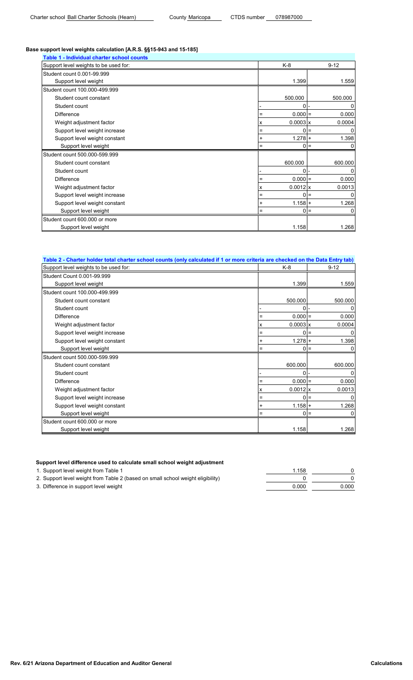# **Base support level weights calculation [A.R.S. §§15-943 and 15-185]**

| Table 1 - Individual charter school counts |     |                 |          |
|--------------------------------------------|-----|-----------------|----------|
| Support level weights to be used for:      |     | K-8             | $9 - 12$ |
| Student count 0.001-99.999                 |     |                 |          |
| Support level weight                       |     | 1.399           | 1.559    |
| Student count 100.000-499.999              |     |                 |          |
| Student count constant                     |     | 500.000         | 500.000  |
| Student count                              |     | 0               | 0        |
| <b>Difference</b>                          | Ξ   | $0.000 =$       | 0.000    |
| Weight adjustment factor                   | x   | $0.0003 \times$ | 0.0004   |
| Support level weight increase              | Ξ   | $0 =$           | 0        |
| Support level weight constant              | +   | $1.278 +$       | 1.398    |
| Support level weight                       | Ξ   | 0               | 0<br>l=  |
| Student count 500.000-599.999              |     |                 |          |
| Student count constant                     |     | 600.000         | 600.000  |
| Student count                              |     | $0 -$           | 0        |
| <b>Difference</b>                          | $=$ | $0.000 =$       | 0.000    |
| Weight adjustment factor                   | х   | $0.0012$ x      | 0.0013   |
| Support level weight increase              | $=$ | $0 =$           |          |
| Support level weight constant              | +   | $1.158 +$       | 1.268    |
| Support level weight                       | Ξ   | O               | 0<br>$=$ |
| Student count 600,000 or more              |     |                 |          |
| Support level weight                       |     | 1.158           | 1.268    |

| Table 2 - Charter holder total charter school counts (only calculated if 1 or more criteria are checked on the Data Entry tab) |                      |            |
|--------------------------------------------------------------------------------------------------------------------------------|----------------------|------------|
| Support level weights to be used for:                                                                                          | K-8                  | $9 - 12$   |
| Student Count 0.001-99.999                                                                                                     |                      |            |
| Support level weight                                                                                                           | 1.399                | 1.559      |
| Student count 100.000-499.999                                                                                                  |                      |            |
| Student count constant                                                                                                         | 500.000              | 500.000    |
| Student count                                                                                                                  | 0                    |            |
| <b>Difference</b>                                                                                                              | $0.000 =$<br>$=$     | 0.000      |
| Weight adjustment factor                                                                                                       | $0.0003 \times$<br>x | 0.0004     |
| Support level weight increase                                                                                                  | Ξ                    | $0 =$<br>n |
| Support level weight constant                                                                                                  | $1.278 +$<br>+       | 1.398      |
| Support level weight                                                                                                           | 0                    | $=$        |
| Student count 500.000-599.999                                                                                                  |                      |            |
| Student count constant                                                                                                         | 600.000              | 600.000    |
| Student count                                                                                                                  | $\Omega$             |            |
| <b>Difference</b>                                                                                                              | $0.000 =$<br>=       | 0.000      |
| Weight adjustment factor                                                                                                       | $0.0012$ x<br>x      | 0.0013     |
| Support level weight increase                                                                                                  | $=$                  | $0 =$      |
| Support level weight constant                                                                                                  | $1.158 +$            | 1.268      |
| Support level weight                                                                                                           | Ξ                    | $0 =$<br>0 |
| Student count 600,000 or more                                                                                                  |                      |            |
| Support level weight                                                                                                           | 1.158                | 1.268      |

# **Support level difference used to calculate small school weight adjustment**

1. Support level weight from Table 1 1.158 0

| 2. Support level weight from Table 2 (based on small school weight eligibility) |       |       |
|---------------------------------------------------------------------------------|-------|-------|
| 3. Difference in support level weight                                           | 0.000 | 0.000 |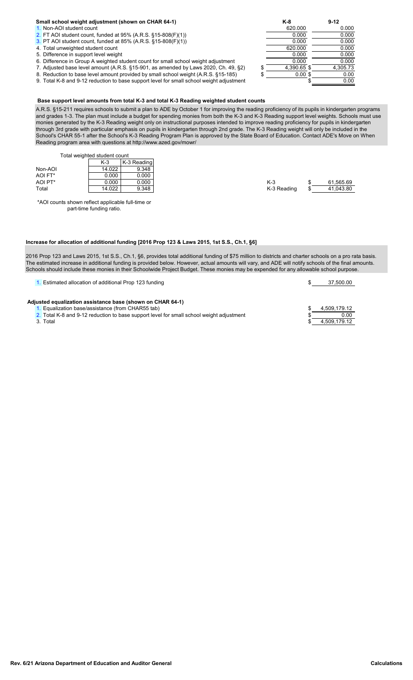# **Small school weight adjustment (shown on CHAR 64-1) K-8 9-12**

- 
- 
- [3.](#page-7-0) PT AOI student count, funded at 85%  $(A.R.S. §15-808(F)(1))$  0.000
- 
- 5. Difference in support level weight weight ount for small school weight adjustment  $\overline{0.000}$   $\overline{0.000}$   $\overline{0.000}$   $\overline{0.000}$   $\overline{0.000}$   $\overline{0.000}$   $\overline{0.000}$   $\overline{0.000}$   $\overline{0.000}$   $\overline{0.000}$   $\overline{0$
- 6. Difference in Group A weighted student count for small school weight adjustment  $\overline{0.000}$  0.000 0.000 0.000 0.000 0.000 0.000 0.000 0.000 0.000 0.000 0.000 0.000 0.000 0.000 0.000 0.000 0.000 0.000 0.000 0.000 0.000
- 7. Adjusted base level amount (A.R.S. §15-901, as amended by Laws 2020, Ch. 49, §2)  $\frac{1}{10}$   $\frac{4,390.65}{0.00}$  \$  $\frac{4,390.73}{0.00}$  8. Reduction to base level amount provided by small school weight (A.R.S. §15-185)
- 8. Reduction to base level amount provided by small school weight (A.R.S. §15-185)  $\overline{\phantom{0}}\$   $\overline{\phantom{0}}\$  0.00  $\overline{\phantom{0}}\$ <br>9. Total K-8 and 9-12 reduction to base support level for small school weight adjustment  $\overline{\$ 9. Total K-8 and 9-12 reduction to base support level for small school weight adjustment  $\overline{\hspace{1.5cm}}$

# [1.](#page-7-0) Non-AOI student count 620.000 0.000 0.000 0.000 0.000 0.000 0.000 0.000 0.000 0.000 0.000 0.000 0.000 0.000 0.000 0.000 0.000 0.000 0.000 0.000 0.000 0.000 0.000 0.000 0.000 0.000 0.000 0.000 0.000 0.000 0.000 0.000 0.0 [2.](#page-7-0) FT AOI student count, funded at 95% (A.R.S. §15-808(F)(1))  $\overline{3.}$  PT AOI student count. funded at 85% (A.R.S. §15-808(F)(1))  $\overline{0.000}$   $\overline{0.000}$   $\overline{0.000}$   $\overline{0.000}$   $\overline{0.000}$ 4. Total unweighted student count 1. The count of the country of the country of the country of the country of the country of the country of the country of the country of the country of the country of the country of the cou

# **Base support level amounts from total K-3 and total K-3 Reading weighted student counts**

A.R.S. §15-211 requires schools to submit a plan to ADE by October 1 for improving the reading proficiency of its pupils in kindergarten programs and grades 1-3. The plan must include a budget for spending monies from both the K-3 and K-3 Reading support level weights. Schools must use monies generated by the K-3 Reading weight only on instructional purposes intended to improve reading proficiency for pupils in kindergarten through 3rd grade with particular emphasis on pupils in kindergarten through 2nd grade. The K-3 Reading weight will only be included in the School's CHAR 55-1 after the School's K-3 Reading Program Plan is approved by the State Board of Education. Contact ADE's Move on When Reading program area with questions at http://www.azed.gov/mowr/

<span id="page-9-0"></span>Total weighted student count

|         | $K-3$  | K-3 Reading |             |           |
|---------|--------|-------------|-------------|-----------|
| Non-AOI | 14.022 | 9.348       |             |           |
| AOI FT* | 0.000  | 0.000       |             |           |
| AOI PT* | 0.000  | 0.000       | $K-3$       | 61.565.69 |
| Total   | 14.022 | 9.348       | K-3 Reading | 41,043.80 |
|         |        |             |             |           |

\*AOI counts shown reflect applicable full-time or part-time funding ratio.

# **Increase for allocation of additional funding [2016 Prop 123 & Laws 2015, 1st S.S., Ch.1, §6]**

2016 Prop 123 and Laws 2015, 1st S.S., Ch.1, §6, provides total additional funding of \$75 million to districts and charter schools on a pro rata basis. The estimated increase in additional funding is provided below. However, actual amounts will vary, and ADE will notify schools of the final amounts. Schools should include these monies in their Schoolwide Project Budget. These monies may be expended for any allowable school purpose.

| . Estimated allocation of additional Prop 123 funding                                    | 37,500.00    |
|------------------------------------------------------------------------------------------|--------------|
|                                                                                          |              |
| Adjusted equalization assistance base (shown on CHAR 64-1)                               |              |
| . Equalization base/assistance (from CHAR55 tab)                                         | 4,509,179.12 |
| 2. Total K-8 and 9-12 reduction to base support level for small school weight adjustment | 0.00         |
| 3. Total                                                                                 | 4.509.179.12 |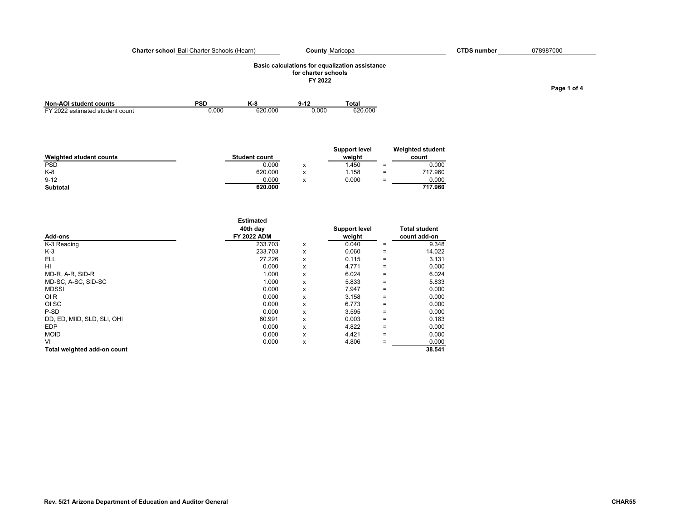### **Charter school** Ball Charter Schools (Hearn) C**ounty** Maricopa CTDS number

# **Basic calculations for equalization assistance for charter schools**

**FY 2022**

| <b>Non-AOI student counts</b>   | PSD   |         | $9 - 12$ | Total   |
|---------------------------------|-------|---------|----------|---------|
| FY 2022 estimated student count | 0.000 | 620,000 | 0.00C    | 620.000 |

|                         |                      |                                    | Support level |          | <b>Weighted student</b> |
|-------------------------|----------------------|------------------------------------|---------------|----------|-------------------------|
| Weighted student counts | <b>Student count</b> |                                    | weiaht        |          | count                   |
| <b>PSD</b>              | 0.000                | ́                                  | .450          | $\equiv$ | 0.000                   |
| $K-8$                   | 620.000              |                                    | .158          | =        | 717.960                 |
| $9 - 12$                | 0.000                | $\overline{\phantom{a}}$<br>$\sim$ | 0.000         | $=$      | 0.000                   |
| <b>Subtotal</b>         | 620.000              |                                    |               |          | 717.960                 |

| Add-ons                     | <b>Estimated</b><br>40th day<br><b>FY 2022 ADM</b> |   | <b>Support level</b><br>weight |                   | <b>Total student</b><br>count add-on |
|-----------------------------|----------------------------------------------------|---|--------------------------------|-------------------|--------------------------------------|
| K-3 Reading                 | 233.703                                            | x | 0.040                          | $=$               | 9.348                                |
| $K-3$                       | 233.703                                            | x | 0.060                          | $=$               | 14.022                               |
| ELL                         | 27.226                                             | x | 0.115                          | $\equiv$          | 3.131                                |
| HI                          | 0.000                                              | x | 4.771                          | $=$               | 0.000                                |
| MD-R, A-R, SID-R            | 1.000                                              | x | 6.024                          | $=$               | 6.024                                |
| MD-SC, A-SC, SID-SC         | 1.000                                              | x | 5.833                          | $\equiv$          | 5.833                                |
| <b>MDSSI</b>                | 0.000                                              | x | 7.947                          | $=$               | 0.000                                |
| OI <sub>R</sub>             | 0.000                                              | x | 3.158                          | $=$               | 0.000                                |
| OI SC                       | 0.000                                              | x | 6.773                          | $\qquad \qquad =$ | 0.000                                |
| P-SD                        | 0.000                                              | x | 3.595                          | $=$               | 0.000                                |
| DD, ED, MIID, SLD, SLI, OHI | 60.991                                             | x | 0.003                          | $=$               | 0.183                                |
| <b>EDP</b>                  | 0.000                                              | x | 4.822                          | $=$               | 0.000                                |
| <b>MOID</b>                 | 0.000                                              | x | 4.421                          | $=$               | 0.000                                |
| VI                          | 0.000                                              | x | 4.806                          | $=$               | 0.000                                |
| Total weighted add-on count |                                                    |   |                                |                   | 38.541                               |

# County Maricopa **CTDS number** 078987000

**Page 1 of 4**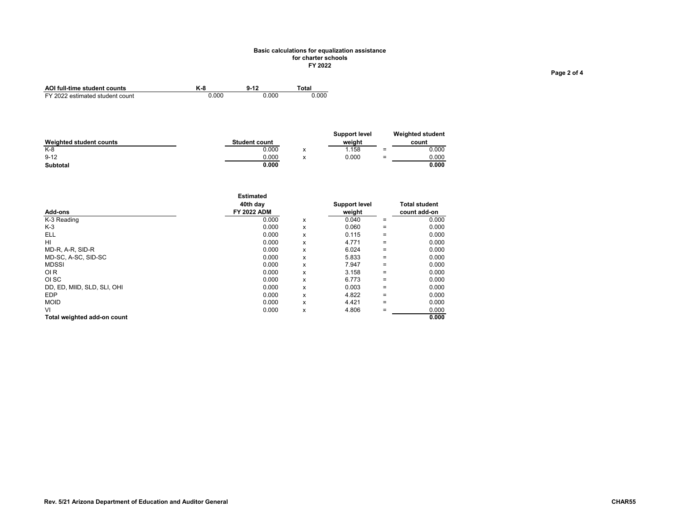## **Basic calculations for equalization assistance for charter schools FY 2022**

| AOI full-time student counts    |       | $9 - 12$ | `otal |
|---------------------------------|-------|----------|-------|
| FY 2022 estimated student count | 0.000 | 0.000    | 0.000 |

|                         |                      |                 | <b>Support level</b> |     | <b>Weighted student</b> |
|-------------------------|----------------------|-----------------|----------------------|-----|-------------------------|
| Weighted student counts | <b>Student count</b> |                 | weiaht               |     | count                   |
| $K-8$                   | 0.000                | $\check{}$<br>^ | 1.158                | $=$ | 0.000                   |
| $9 - 12$                | 0.000                | $\check{}$      | 0.000                | $=$ | 0.000                   |
| <b>Subtotal</b>         | 0.000                |                 |                      |     | 0.000                   |

| Add-ons                     | <b>Estimated</b><br>40th day<br><b>FY 2022 ADM</b> |   | Support level<br>weight |                   | <b>Total student</b><br>count add-on |
|-----------------------------|----------------------------------------------------|---|-------------------------|-------------------|--------------------------------------|
| K-3 Reading                 | 0.000                                              | x | 0.040                   | $=$               | 0.000                                |
| K-3                         | 0.000                                              | x | 0.060                   | $=$               | 0.000                                |
| <b>ELL</b>                  | 0.000                                              | x | 0.115                   | $\equiv$          | 0.000                                |
| HI                          | 0.000                                              | x | 4.771                   | $=$               | 0.000                                |
| MD-R, A-R, SID-R            | 0.000                                              | x | 6.024                   | $=$               | 0.000                                |
| MD-SC, A-SC, SID-SC         | 0.000                                              | x | 5.833                   | $=$               | 0.000                                |
| <b>MDSSI</b>                | 0.000                                              | x | 7.947                   | $=$               | 0.000                                |
| OI <sub>R</sub>             | 0.000                                              | x | 3.158                   | $=$               | 0.000                                |
| OI SC                       | 0.000                                              | x | 6.773                   | $=$               | 0.000                                |
| DD, ED, MIID, SLD, SLI, OHI | 0.000                                              | x | 0.003                   | $\equiv$          | 0.000                                |
| <b>EDP</b>                  | 0.000                                              | x | 4.822                   | $\qquad \qquad =$ | 0.000                                |
| <b>MOID</b>                 | 0.000                                              | x | 4.421                   | $=$               | 0.000                                |
| VI                          | 0.000                                              | x | 4.806                   |                   | 0.000                                |
| Total weighted add-on count |                                                    |   |                         |                   | 0.000                                |

**Page 2 of 4**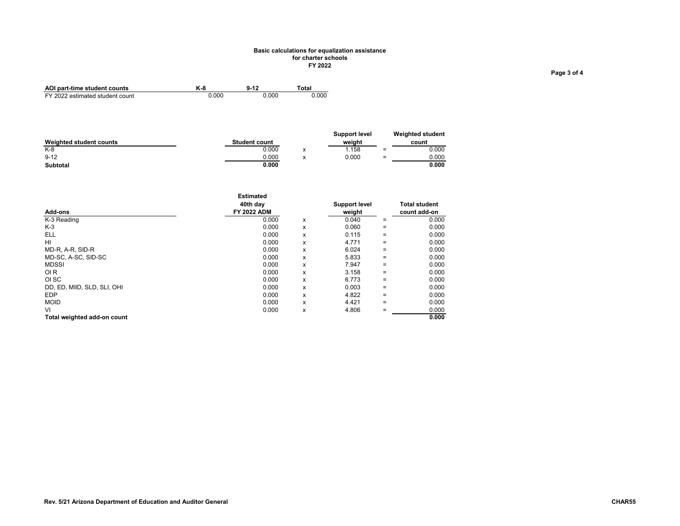## **Basic calculations for equalization assistance for charter schools FY 2022**

| AOI part-time student counts    | K-8   | $9 - 12$ | "otal |
|---------------------------------|-------|----------|-------|
| FY 2022 estimated student count | 0.000 | 0.000    | 0.000 |

|                         |                      |                 | <b>Support level</b> |     | <b>Weighted student</b> |
|-------------------------|----------------------|-----------------|----------------------|-----|-------------------------|
| Weighted student counts | <b>Student count</b> |                 | weiaht               |     | count                   |
| $K-8$                   | 0.000                | $\check{}$<br>^ | 1.158                | $=$ | 0.000                   |
| $9 - 12$                | 0.000                | $\check{}$      | 0.000                | $=$ | 0.000                   |
| <b>Subtotal</b>         | 0.000                |                 |                      |     | 0.000                   |

| Add-ons                     | <b>Estimated</b><br>40th dav<br><b>FY 2022 ADM</b> |   | Support level<br>weight |          | <b>Total student</b><br>count add-on |
|-----------------------------|----------------------------------------------------|---|-------------------------|----------|--------------------------------------|
| K-3 Reading                 | 0.000                                              | x | 0.040                   | $=$      | 0.000                                |
| K-3                         | 0.000                                              | x | 0.060                   | $=$      | 0.000                                |
| <b>ELL</b>                  | 0.000                                              | x | 0.115                   | $\equiv$ | 0.000                                |
| HI                          | 0.000                                              | x | 4.771                   | $\equiv$ | 0.000                                |
| MD-R, A-R, SID-R            | 0.000                                              | x | 6.024                   | $=$      | 0.000                                |
| MD-SC, A-SC, SID-SC         | 0.000                                              | x | 5.833                   | $=$      | 0.000                                |
| <b>MDSSI</b>                | 0.000                                              | x | 7.947                   | $=$      | 0.000                                |
| OI <sub>R</sub>             | 0.000                                              | x | 3.158                   | $=$      | 0.000                                |
| OI SC                       | 0.000                                              | x | 6.773                   | $=$      | 0.000                                |
| DD, ED, MIID, SLD, SLI, OHI | 0.000                                              | x | 0.003                   | $=$      | 0.000                                |
| <b>EDP</b>                  | 0.000                                              | x | 4.822                   | $=$      | 0.000                                |
| <b>MOID</b>                 | 0.000                                              | x | 4.421                   | $=$      | 0.000                                |
| VI                          | 0.000                                              | x | 4.806                   | $=$      | 0.000                                |
| Total weighted add-on count |                                                    |   |                         |          | 0.000                                |

**Page 3 of 4**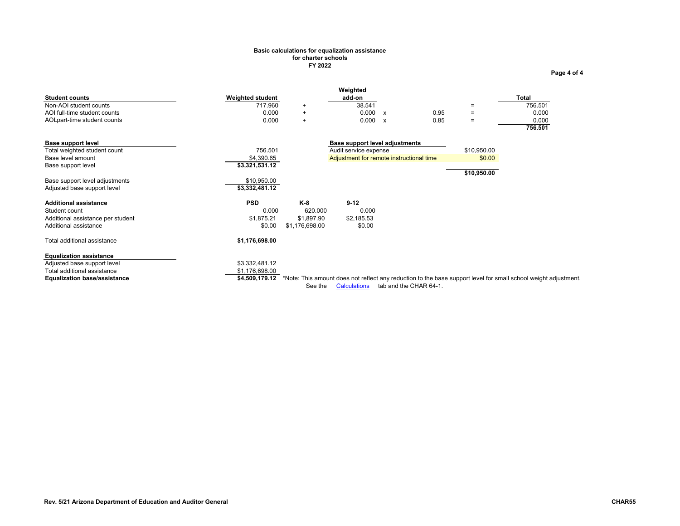### **Basic calculations for equalization assistance for charter schools FY 2022**

<span id="page-13-0"></span>

| Rev. 5/21 Arizona Department of Education and Auditor General | CHAR55 |
|---------------------------------------------------------------|--------|

AOI-part-time student counts and the other part of 0.000 +

|                              |                         | Weighted |      |                                                      |              |
|------------------------------|-------------------------|----------|------|------------------------------------------------------|--------------|
| <b>Student counts</b>        | <b>Weighted student</b> | add-on   |      |                                                      | <b>Total</b> |
| Non-AOI student counts       | 717.960                 | 38.541   |      | $\overline{\phantom{0}}$                             | 756.501      |
| AOI full-time student counts | 0.000                   | 0.000    | 0.95 | $\overline{\phantom{0}}$<br>$\overline{\phantom{0}}$ | 0.000        |

|                                     |                |                |                                                                                                                 |             | -----<br>756.501 |
|-------------------------------------|----------------|----------------|-----------------------------------------------------------------------------------------------------------------|-------------|------------------|
| Base support level                  |                |                | Base support level adjustments                                                                                  |             |                  |
| Total weighted student count        | 756.501        |                | Audit service expense                                                                                           | \$10,950.00 |                  |
| Base level amount                   | \$4,390.65     |                | Adjustment for remote instructional time                                                                        | \$0.00      |                  |
| Base support level                  | \$3,321,531.12 |                |                                                                                                                 |             |                  |
|                                     |                |                |                                                                                                                 | \$10,950.00 |                  |
| Base support level adjustments      | \$10,950.00    |                |                                                                                                                 |             |                  |
| Adjusted base support level         | \$3,332,481.12 |                |                                                                                                                 |             |                  |
| <b>Additional assistance</b>        | <b>PSD</b>     | K-8            | $9-12$                                                                                                          |             |                  |
| Student count                       | 0.000          | 620,000        | 0.000                                                                                                           |             |                  |
| Additional assistance per student   | \$1,875.21     | \$1,897.90     | \$2,185.53                                                                                                      |             |                  |
| Additional assistance               | \$0.00         | \$1,176,698.00 | \$0.00                                                                                                          |             |                  |
| Total additional assistance         | \$1,176,698.00 |                |                                                                                                                 |             |                  |
| <b>Equalization assistance</b>      |                |                |                                                                                                                 |             |                  |
| Adjusted base support level         | \$3,332,481.12 |                |                                                                                                                 |             |                  |
| Total additional assistance         | \$1,176,698.00 |                |                                                                                                                 |             |                  |
| <b>Equalization base/assistance</b> | \$4.509.179.12 |                | *Note: This amount does not reflect any reduction to the base support level for small school weight adjustment. |             |                  |
|                                     |                |                |                                                                                                                 |             |                  |

AOI full-time student counts <br>AOI-part-time student counts <br>AOI-part-time student counts <br>  $0.000 + 0.000 + 0.000 + 0.000 = 0.85 = 0.000$ 

See the Calculations tab and the CHAR 64-1.

**Page 4 of 4**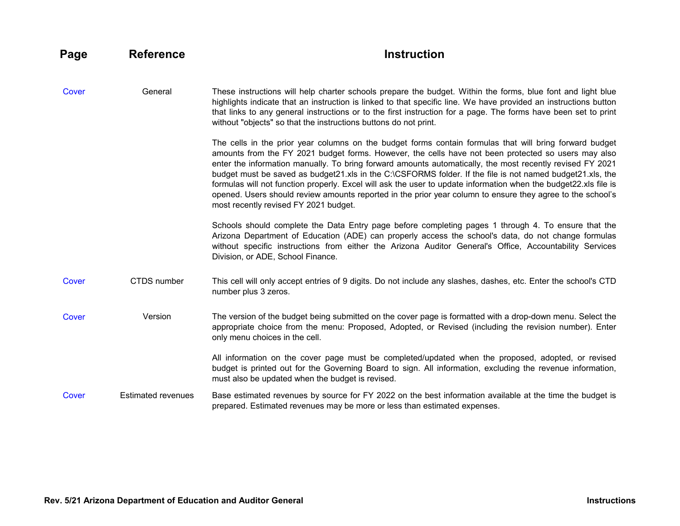<span id="page-14-1"></span><span id="page-14-0"></span>

| Page  | <b>Reference</b>          | <b>Instruction</b>                                                                                                                                                                                                                                                                                                                                                                                                                                                                                                                                                                                                                                                                                                  |
|-------|---------------------------|---------------------------------------------------------------------------------------------------------------------------------------------------------------------------------------------------------------------------------------------------------------------------------------------------------------------------------------------------------------------------------------------------------------------------------------------------------------------------------------------------------------------------------------------------------------------------------------------------------------------------------------------------------------------------------------------------------------------|
| Cover | General                   | These instructions will help charter schools prepare the budget. Within the forms, blue font and light blue<br>highlights indicate that an instruction is linked to that specific line. We have provided an instructions button<br>that links to any general instructions or to the first instruction for a page. The forms have been set to print<br>without "objects" so that the instructions buttons do not print.                                                                                                                                                                                                                                                                                              |
|       |                           | The cells in the prior year columns on the budget forms contain formulas that will bring forward budget<br>amounts from the FY 2021 budget forms. However, the cells have not been protected so users may also<br>enter the information manually. To bring forward amounts automatically, the most recently revised FY 2021<br>budget must be saved as budget21.xls in the C:\CSFORMS folder. If the file is not named budget21.xls, the<br>formulas will not function properly. Excel will ask the user to update information when the budget22.xls file is<br>opened. Users should review amounts reported in the prior year column to ensure they agree to the school's<br>most recently revised FY 2021 budget. |
|       |                           | Schools should complete the Data Entry page before completing pages 1 through 4. To ensure that the<br>Arizona Department of Education (ADE) can properly access the school's data, do not change formulas<br>without specific instructions from either the Arizona Auditor General's Office, Accountability Services<br>Division, or ADE, School Finance.                                                                                                                                                                                                                                                                                                                                                          |
| Cover | <b>CTDS</b> number        | This cell will only accept entries of 9 digits. Do not include any slashes, dashes, etc. Enter the school's CTD<br>number plus 3 zeros.                                                                                                                                                                                                                                                                                                                                                                                                                                                                                                                                                                             |
| Cover | Version                   | The version of the budget being submitted on the cover page is formatted with a drop-down menu. Select the<br>appropriate choice from the menu: Proposed, Adopted, or Revised (including the revision number). Enter<br>only menu choices in the cell.                                                                                                                                                                                                                                                                                                                                                                                                                                                              |
|       |                           | All information on the cover page must be completed/updated when the proposed, adopted, or revised<br>budget is printed out for the Governing Board to sign. All information, excluding the revenue information,<br>must also be updated when the budget is revised.                                                                                                                                                                                                                                                                                                                                                                                                                                                |
| Cover | <b>Estimated revenues</b> | Base estimated revenues by source for FY 2022 on the best information available at the time the budget is<br>prepared. Estimated revenues may be more or less than estimated expenses.                                                                                                                                                                                                                                                                                                                                                                                                                                                                                                                              |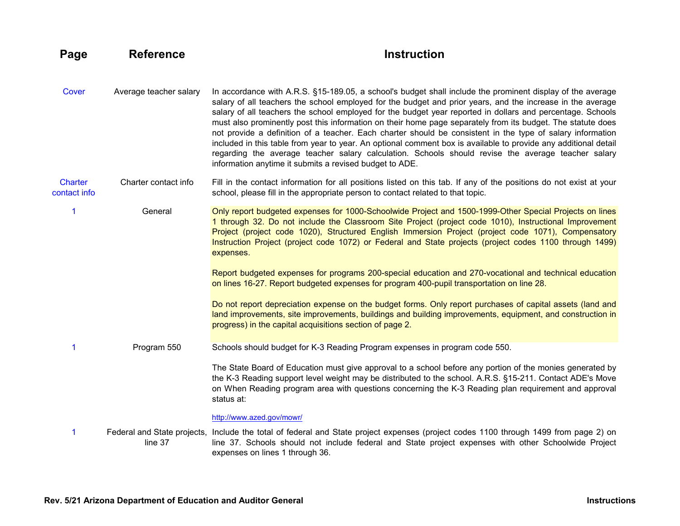<span id="page-15-3"></span><span id="page-15-2"></span><span id="page-15-1"></span><span id="page-15-0"></span>[Cover](#page-1-0) Average teacher salary In accordance with A.R.S. §15-189.05, a school's budget shall include the prominent display of the average salary of all teachers the school employed for the budget and prior years, and the increase in the average salary of all teachers the school employed for the budget year reported in dollars and percentage. Schools must also prominently post this information on their home page separately from its budget. The statute does not provide a definition of a teacher. Each charter should be consistent in the type of salary information included in this table from year to year. An optional comment box is available to provide any additional detail regarding the average teacher salary calculation. Schools should revise the average teacher salary information anytime it submits a revised budget to ADE. **Charter** contact info Charter contact info Fill in the contact information for all positions listed on this tab. If any of the positions do not exist at your school, please fill in the appropriate person to contact related to that topic. [1](#page-3-0) General Only report budgeted expenses for 1000-Schoolwide Project and 1500-1999-Other Special Projects on lines 1 through 32. Do not include the Classroom Site Project (project code 1010), Instructional Improvement Project (project code 1020), Structured English Immersion Project (project code 1071), Compensatory Instruction Project (project code 1072) or Federal and State projects (project codes 1100 through 1499) expenses. Report budgeted expenses for programs 200-special education and 270-vocational and technical education on lines 16-27. Report budgeted expenses for program 400-pupil transportation on line 28. Do not report depreciation expense on the budget forms. Only report purchases of capital assets (land and land improvements, site improvements, buildings and building improvements, equipment, and construction in progress) in the capital acquisitions section of page 2. [1](#page-3-0) Program 550 Schools should budget for K-3 Reading Program expenses in program code 550. The State Board of Education must give approval to a school before any portion of the monies generated by the K-3 Reading support level weight may be distributed to the school. A.R.S. §15-211. Contact ADE's Move on When Reading program area with questions concerning the K-3 Reading plan requirement and approval status at: <http://www.azed.gov/mowr/> [1](#page-3-0) Federal and State projects, Include the total of federal and State project expenses (project codes 1100 through 1499 from page 2) on line 37 line 37. Schools should not include federal and State project expenses with other Schoolwide Project expenses on lines 1 through 36.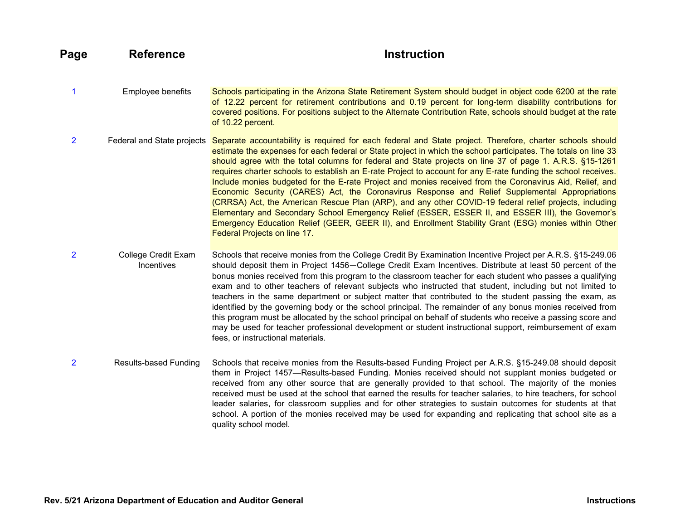<span id="page-16-3"></span><span id="page-16-2"></span><span id="page-16-1"></span><span id="page-16-0"></span>[1](#page-3-0) Employee benefits Schools participating in the Arizona State Retirement System should budget in object code 6200 at the rate of 12.22 percent for retirement contributions and 0.19 percent for long-term disability contributions for covered positions. For positions subject to the Alternate Contribution Rate, schools should budget at the rate of 10.22 percent. [2](#page-4-0) Federal and State projects Separate accountability is required for each federal and State project. Therefore, charter schools should estimate the expenses for each federal or State project in which the school participates. The totals on line 33 should agree with the total columns for federal and State projects on line 37 of page 1. A.R.S. §15-1261 requires charter schools to establish an E-rate Project to account for any E-rate funding the school receives. Include monies budgeted for the E-rate Project and monies received from the Coronavirus Aid, Relief, and Economic Security (CARES) Act, the Coronavirus Response and Relief Supplemental Appropriations (CRRSA) Act, the American Rescue Plan (ARP), and any other COVID-19 federal relief projects, including Elementary and Secondary School Emergency Relief (ESSER, ESSER II, and ESSER III), the Governor's Emergency Education Relief (GEER, GEER II), and Enrollment Stability Grant (ESG) monies within Other Federal Projects on line 17. [2](#page-4-0) College Credit Exam **Incentives** Schools that receive monies from the College Credit By Examination Incentive Project per A.R.S. §15-249.06 should deposit them in Project 1456—College Credit Exam Incentives. Distribute at least 50 percent of the bonus monies received from this program to the classroom teacher for each student who passes a qualifying exam and to other teachers of relevant subjects who instructed that student, including but not limited to teachers in the same department or subject matter that contributed to the student passing the exam, as identified by the governing body or the school principal. The remainder of any bonus monies received from this program must be allocated by the school principal on behalf of students who receive a passing score and may be used for teacher professional development or student instructional support, reimbursement of exam fees, or instructional materials. [2](#page-4-0) Results-based Funding Schools that receive monies from the Results-based Funding Project per A.R.S. §15-249.08 should deposit them in Project 1457—Results-based Funding. Monies received should not supplant monies budgeted or received from any other source that are generally provided to that school. The majority of the monies received must be used at the school that earned the results for teacher salaries, to hire teachers, for school leader salaries, for classroom supplies and for other strategies to sustain outcomes for students at that school. A portion of the monies received may be used for expanding and replicating that school site as a quality school model.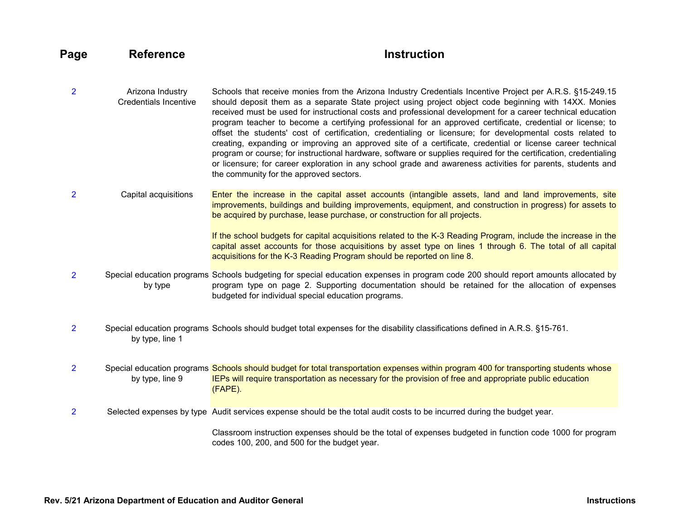- <span id="page-17-3"></span>[2](#page-4-0) Arizona Industry Credentials Incentive Schools that receive monies from the Arizona Industry Credentials Incentive Project per A.R.S. §15-249.15 should deposit them as a separate State project using project object code beginning with 14XX. Monies received must be used for instructional costs and professional development for a career technical education program teacher to become a certifying professional for an approved certificate, credential or license; to offset the students' cost of certification, credentialing or licensure; for developmental costs related to creating, expanding or improving an approved site of a certificate, credential or license career technical program or course; for instructional hardware, software or supplies required for the certification, credentialing or licensure; for career exploration in any school grade and awareness activities for parents, students and the community for the approved sectors.
- [2](#page-4-0) Capital acquisitions Enter the increase in the capital asset accounts (intangible assets, land and land improvements, site improvements, buildings and building improvements, equipment, and construction in progress) for assets to be acquired by purchase, lease purchase, or construction for all projects.

<span id="page-17-4"></span><span id="page-17-1"></span><span id="page-17-0"></span>If the school budgets for capital acquisitions related to the K-3 Reading Program, include the increase in the capital asset accounts for those acquisitions by asset type on lines 1 through 6. The total of all capital acquisitions for the K-3 Reading Program should be reported on line 8.

- [2](#page-4-0) Special education programs Schools budgeting for special education expenses in program code 200 should report amounts allocated by by type program type on page 2. Supporting documentation should be retained for the allocation of expenses budgeted for individual special education programs.
- [2](#page-4-0) Special education programs Schools should budget total expenses for the disability classifications defined in A.R.S. §15-761. by type, line 1

[2](#page-4-0) Special education programs Schools should budget for total transportation expenses within program 400 for transporting students whose by type, line 9 IEPs will require transportation as necessary for the provision of free and appropriate public education (FAPE).

[2](#page-4-0) Selected expenses by type Audit services expense should be the total audit costs to be incurred during the budget year.

<span id="page-17-5"></span><span id="page-17-2"></span>Classroom instruction expenses should be the total of expenses budgeted in function code 1000 for program codes 100, 200, and 500 for the budget year.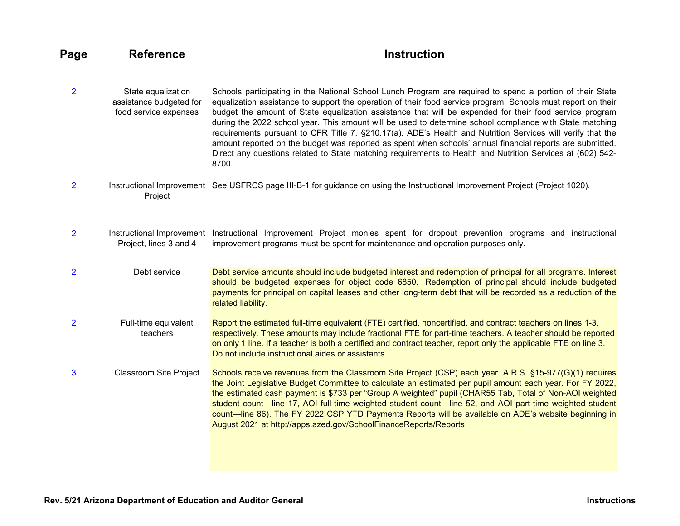- <span id="page-18-2"></span>[2](#page-4-0) State equalization assistance budgeted for food service expenses Schools participating in the National School Lunch Program are required to spend a portion of their State equalization assistance to support the operation of their food service program. Schools must report on their budget the amount of State equalization assistance that will be expended for their food service program during the 2022 school year. This amount will be used to determine school compliance with State matching requirements pursuant to CFR Title 7, §210.17(a). ADE's Health and Nutrition Services will verify that the amount reported on the budget was reported as spent when schools' annual financial reports are submitted. Direct any questions related to State matching requirements to Health and Nutrition Services at (602) 542- 8700.
- <span id="page-18-0"></span>[2](#page-4-0) Instructional Improvement See USFRCS page III-B-1 for guidance on using the Instructional Improvement Project (Project 1020). Project
- <span id="page-18-1"></span>[2](#page-4-0) Instructional Improvement Instructional Improvement Project monies spent for dropout prevention programs and instructional Project, lines 3 and 4 improvement programs must be spent for maintenance and operation purposes only.
- <span id="page-18-3"></span>[2](#page-4-0) Debt service Debt service amounts should include budgeted interest and redemption of principal for all programs. Interest should be budgeted expenses for object code 6850. Redemption of principal should include budgeted payments for principal on capital leases and other long-term debt that will be recorded as a reduction of the related liability.
- <span id="page-18-4"></span>[2](#page-4-0) Full-time equivalent teachers Report the estimated full-time equivalent (FTE) certified, noncertified, and contract teachers on lines 1-3, respectively. These amounts may include fractional FTE for part-time teachers. A teacher should be reported on only 1 line. If a teacher is both a certified and contract teacher, report only the applicable FTE on line 3. Do not include instructional aides or assistants.
- <span id="page-18-5"></span>[3](#page-5-0) Classroom Site Project Schools receive revenues from the Classroom Site Project (CSP) each year. A.R.S. §15-977(G)(1) requires the Joint Legislative Budget Committee to calculate an estimated per pupil amount each year. For FY 2022, the estimated cash payment is \$733 per "Group A weighted" pupil (CHAR55 Tab, Total of Non-AOI weighted student count—line 17, AOI full-time weighted student count—line 52, and AOI part-time weighted student count—line 86). The FY 2022 CSP YTD Payments Reports will be available on ADE's website beginning in August 2021 at http://apps.azed.gov/SchoolFinanceReports/Reports